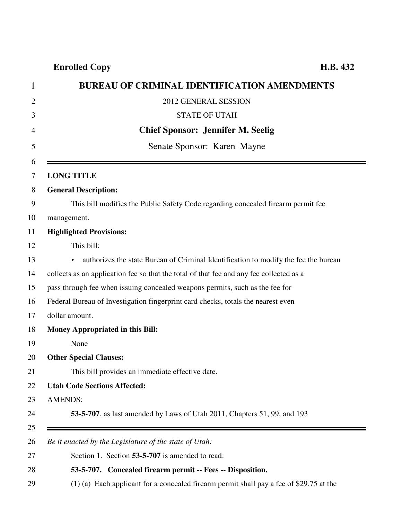## **Enrolled Copy H.B. 432**

| <b>BUREAU OF CRIMINAL IDENTIFICATION AMENDMENTS</b>                                       |
|-------------------------------------------------------------------------------------------|
| 2012 GENERAL SESSION                                                                      |
| <b>STATE OF UTAH</b>                                                                      |
| <b>Chief Sponsor: Jennifer M. Seelig</b>                                                  |
| Senate Sponsor: Karen Mayne                                                               |
| <b>LONG TITLE</b>                                                                         |
| <b>General Description:</b>                                                               |
| This bill modifies the Public Safety Code regarding concealed firearm permit fee          |
| management.                                                                               |
| <b>Highlighted Provisions:</b>                                                            |
| This bill:                                                                                |
| authorizes the state Bureau of Criminal Identification to modify the fee the bureau       |
| collects as an application fee so that the total of that fee and any fee collected as a   |
| pass through fee when issuing concealed weapons permits, such as the fee for              |
| Federal Bureau of Investigation fingerprint card checks, totals the nearest even          |
| dollar amount.                                                                            |
| Money Appropriated in this Bill:                                                          |
| None                                                                                      |
| <b>Other Special Clauses:</b>                                                             |
| This bill provides an immediate effective date.                                           |
| <b>Utah Code Sections Affected:</b>                                                       |
| <b>AMENDS:</b>                                                                            |
| <b>53-5-707</b> , as last amended by Laws of Utah 2011, Chapters 51, 99, and 193          |
|                                                                                           |
| Be it enacted by the Legislature of the state of Utah:                                    |
| Section 1. Section 53-5-707 is amended to read:                                           |
| 53-5-707. Concealed firearm permit -- Fees -- Disposition.                                |
| $(1)$ (a) Each applicant for a concealed firearm permit shall pay a fee of \$29.75 at the |